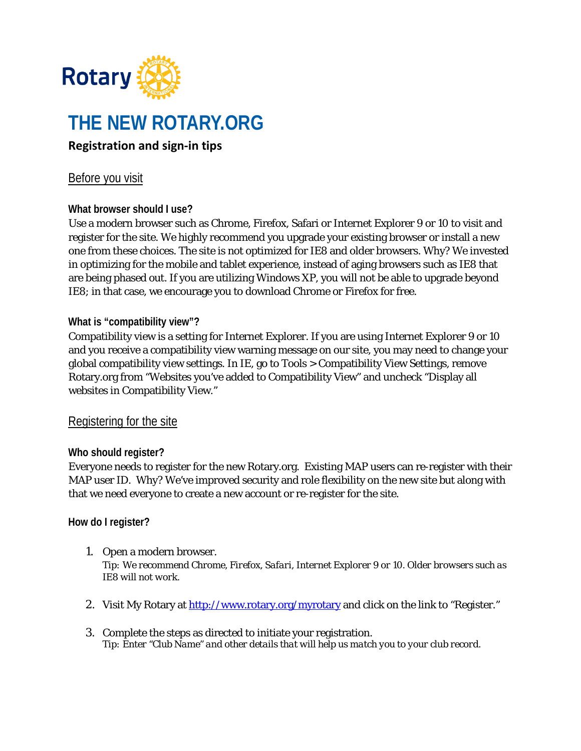

# **THE NEW ROTARY.ORG**

## **Registration and sign-in tips**

### Before you visit

#### **What browser should I use?**

Use a modern browser such as Chrome, Firefox, Safari or Internet Explorer 9 or 10 to visit and register for the site. We highly recommend you upgrade your existing browser or install a new one from these choices. The site is not optimized for IE8 and older browsers. Why? We invested in optimizing for the mobile and tablet experience, instead of aging browsers such as IE8 that are being phased out. If you are utilizing Windows XP, you will not be able to upgrade beyond IE8; in that case, we encourage you to download Chrome or Firefox for free.

#### **What is "compatibility view"?**

Compatibility view is a setting for Internet Explorer. If you are using Internet Explorer 9 or 10 and you receive a compatibility view warning message on our site, you may need to change your global compatibility view settings. In IE, go to Tools > Compatibility View Settings, remove Rotary.org from "Websites you've added to Compatibility View" and uncheck "Display all websites in Compatibility View."

#### Registering for the site

#### **Who should register?**

Everyone needs to register for the new Rotary.org. Existing MAP users can re-register with their MAP user ID. Why? We've improved security and role flexibility on the new site but along with that we need everyone to create a new account or re-register for the site.

#### **How do I register?**

- 1. Open a modern browser. *Tip: We recommend Chrome, Firefox, Safari, Internet Explorer 9 or 10. Older browsers such as IE8 will not work.*
- 2. Visit My Rotary at<http://www.rotary.org/myrotary> and click on the link to "Register."
- 3. Complete the steps as directed to initiate your registration. *Tip: Enter "Club Name" and other details that will help us match you to your club record.*